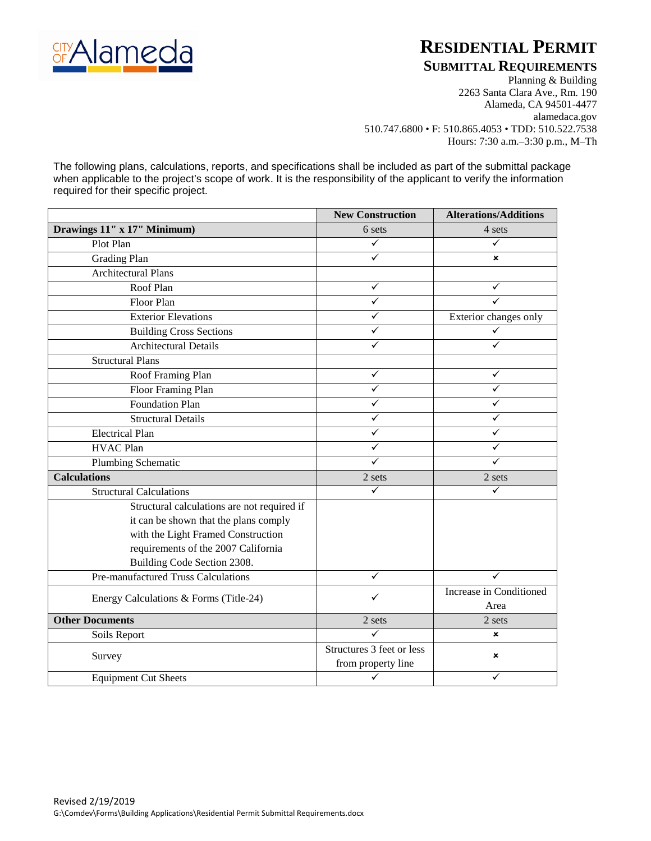

# **RESIDENTIAL PERMIT**

### **SUBMITTAL REQUIREMENTS**

Planning & Building 2263 Santa Clara Ave., Rm. 190 Alameda, CA 94501-4477 alamedaca.gov 510.747.6800 • F: 510.865.4053 • TDD: 510.522.7538 Hours: 7:30 a.m.–3:30 p.m., M–Th

The following plans, calculations, reports, and specifications shall be included as part of the submittal package when applicable to the project's scope of work. It is the responsibility of the applicant to verify the information required for their specific project.

|                                             | <b>New Construction</b>   | <b>Alterations/Additions</b> |
|---------------------------------------------|---------------------------|------------------------------|
| Drawings 11" x 17" Minimum)                 | 6 sets                    | 4 sets                       |
| Plot Plan                                   | ✓                         | ✓                            |
| <b>Grading Plan</b>                         | ✓                         | ×                            |
| <b>Architectural Plans</b>                  |                           |                              |
| Roof Plan                                   | ✓                         | ✓                            |
| <b>Floor Plan</b>                           | ✓                         | ✓                            |
| <b>Exterior Elevations</b>                  | ✓                         | Exterior changes only        |
| <b>Building Cross Sections</b>              | ✓                         | ✓                            |
| <b>Architectural Details</b>                | ✓                         | ✓                            |
| <b>Structural Plans</b>                     |                           |                              |
| Roof Framing Plan                           | ✓                         | ✓                            |
| Floor Framing Plan                          | ✓                         | ✓                            |
| <b>Foundation Plan</b>                      | ✓                         | ✓                            |
| <b>Structural Details</b>                   | ✓                         |                              |
| <b>Electrical Plan</b>                      | ✓                         | ✓                            |
| <b>HVAC Plan</b>                            | ✓                         | ✓                            |
| Plumbing Schematic                          | ✓                         | ✓                            |
| <b>Calculations</b>                         | 2 sets                    | 2 sets                       |
| <b>Structural Calculations</b>              | ✓                         | ✓                            |
| Structural calculations are not required if |                           |                              |
| it can be shown that the plans comply       |                           |                              |
| with the Light Framed Construction          |                           |                              |
| requirements of the 2007 California         |                           |                              |
| Building Code Section 2308.                 |                           |                              |
| Pre-manufactured Truss Calculations         | ✓                         | ✓                            |
| Energy Calculations & Forms (Title-24)      | ✓                         | Increase in Conditioned      |
|                                             |                           | Area                         |
| <b>Other Documents</b>                      | 2 sets                    | 2 sets                       |
| Soils Report                                | ✓                         | ×                            |
| Survey                                      | Structures 3 feet or less | ×                            |
|                                             | from property line        |                              |
| <b>Equipment Cut Sheets</b>                 |                           | ✓                            |